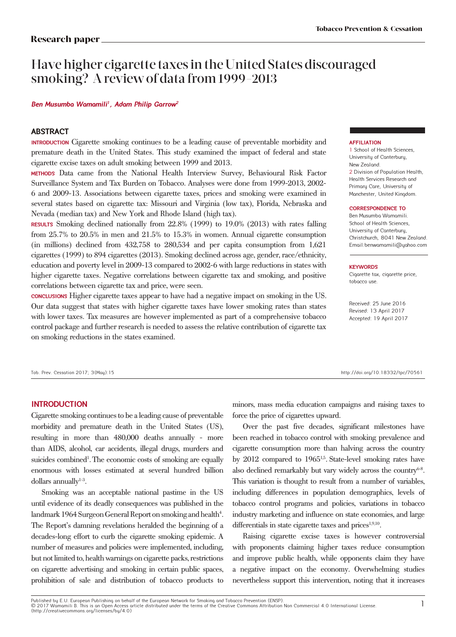# Have higher cigarette taxes in the United States discouraged smoking? A review of data from 1999*-*2013

**Ben Musumba Wamamili<sup>1</sup>, Adam Philip Garrow<sup>2</sup>**

## **ABSTRACT**

**INTRODUCTION** Cigarette smoking continues to be a leading cause of preventable morbidity and premature death in the United States. This study examined the impact of federal and state cigarette excise taxes on adult smoking between 1999 and 2013.

**METHODS** Data came from the National Health Interview Survey, Behavioural Risk Factor Surveillance System and Tax Burden on Tobacco. Analyses were done from 1999-2013, 2002- 6 and 2009-13. Associations between cigarette taxes, prices and smoking were examined in several states based on cigarette tax: Missouri and Virginia (low tax), Florida, Nebraska and Nevada (median tax) and New York and Rhode Island (high tax).

**RESULTS** Smoking declined nationally from 22.8% (1999) to 19.0% (2013) with rates falling from 25.7% to 20.5% in men and 21.5% to 15.3% in women. Annual cigarette consumption (in millions) declined from 432,758 to 280,534 and per capita consumption from 1,621 cigarettes (1999) to 894 cigarettes (2013). Smoking declined across age, gender, race/ethnicity, education and poverty level in 2009-13 compared to 2002-6 with large reductions in states with higher cigarette taxes. Negative correlations between cigarette tax and smoking, and positive correlations between cigarette tax and price, were seen.

**CONCLUSIONS** Higher cigarette taxes appear to have had a negative impact on smoking in the US. Our data suggest that states with higher cigarette taxes have lower smoking rates than states with lower taxes. Tax measures are however implemented as part of a comprehensive tobacco control package and further research is needed to assess the relative contribution of cigarette tax on smoking reductions in the states examined.

Tob. Prev. Cessation 2017; 3(May):15 http://doi.org/10.18332/tpc/70561

#### **AFFILIATION**

1 School of Health Sciences, University of Canterbury, New Zealand. 2 Division of Population Health, Health Services Research and Primary Care, University of Manchester, United Kingdom.

#### **CORRESPONDENCE TO**

Ben Musumba Wamamili. School of Health Sciences, University of Canterbury, Christchurch, 8041 New Zealand. Email:benwamamili@yahoo.com

#### **KEYWORDS**

Cigarette tax, cigarette price, tobacco use.

Received: 25 June 2016 Revised: 13 April 2017 Accepted: 19 April 2017

## **INTRODUCTION**

Cigarette smoking continues to be a leading cause of preventable morbidity and premature death in the United States (US), resulting in more than 480,000 deaths annually - more than AIDS, alcohol, car accidents, illegal drugs, murders and suicides combined<sup>1</sup>. The economic costs of smoking are equally enormous with losses estimated at several hundred billion dollars annually $1-3$ .

Smoking was an acceptable national pastime in the US until evidence of its deadly consequences was published in the landmark 1964 Surgeon General Report on smoking and health<sup>4</sup>. The Report's damning revelations heralded the beginning of a decades-long effort to curb the cigarette smoking epidemic. A number of measures and policies were implemented, including, but not limited to, health warnings on cigarette packs, restrictions on cigarette advertising and smoking in certain public spaces, prohibition of sale and distribution of tobacco products to

minors, mass media education campaigns and raising taxes to force the price of cigarettes upward.

Over the past five decades, significant milestones have been reached in tobacco control with smoking prevalence and cigarette consumption more than halving across the country by  $2012$  compared to  $1965^{1.5}$ . State-level smoking rates have also declined remarkably but vary widely across the country $6-8$ . This variation is thought to result from a number of variables, including differences in population demographics, levels of tobacco control programs and policies, variations in tobacco industry marketing and influence on state economies, and large differentials in state cigarette taxes and  $\text{prices}^{1,9,10}$ .

Raising cigarette excise taxes is however controversial with proponents claiming higher taxes reduce consumption and improve public health, while opponents claim they have a negative impact on the economy. Overwhelming studies nevertheless support this intervention, noting that it increases

Published by E.U. European Publishing on behalf of the European Network for Smoking and Tobacco Prevention (ENSP). © 2017 Wamamili B. This is an Open Access article distributed under the terms of the Creative Commons Attribution Non Commercial 4.0 International License. (http://creativecommons.org/licenses/by/4.0)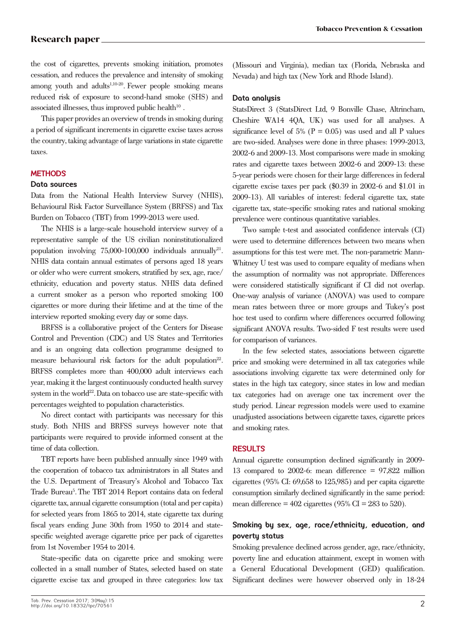the cost of cigarettes, prevents smoking initiation, promotes cessation, and reduces the prevalence and intensity of smoking among youth and adults<sup>1,10-20</sup>. Fewer people smoking means reduced risk of exposure to second-hand smoke (SHS) and associated illnesses, thus improved public health<sup>10</sup>.

This paper provides an overview of trends in smoking during a period of significant increments in cigarette excise taxes across the country, taking advantage of large variations in state cigarette taxes.

## **METHODS**

## **Data sources**

Data from the National Health Interview Survey (NHIS), Behavioural Risk Factor Surveillance System (BRFSS) and Tax Burden on Tobacco (TBT) from 1999-2013 were used.

The NHIS is a large-scale household interview survey of a representative sample of the US civilian noninstitutionalized population involving  $75,000-100,000$  individuals annually<sup>21</sup>. NHIS data contain annual estimates of persons aged 18 years or older who were current smokers, stratified by sex, age, race/ ethnicity, education and poverty status. NHIS data defined a current smoker as a person who reported smoking 100 cigarettes or more during their lifetime and at the time of the interview reported smoking every day or some days.

BRFSS is a collaborative project of the Centers for Disease Control and Prevention (CDC) and US States and Territories and is an ongoing data collection programme designed to measure behavioural risk factors for the adult population<sup>22</sup>. BRFSS completes more than 400,000 adult interviews each year, making it the largest continuously conducted health survey system in the world<sup>22</sup>. Data on tobacco use are state-specific with percentages weighted to population characteristics.

No direct contact with participants was necessary for this study. Both NHIS and BRFSS surveys however note that participants were required to provide informed consent at the time of data collection.

TBT reports have been published annually since 1949 with the cooperation of tobacco tax administrators in all States and the U.S. Department of Treasury's Alcohol and Tobacco Tax Trade Bureau<sup>5</sup>. The TBT 2014 Report contains data on federal cigarette tax, annual cigarette consumption (total and per capita) for selected years from 1865 to 2014, state cigarette tax during fiscal years ending June 30th from 1950 to 2014 and statespecific weighted average cigarette price per pack of cigarettes from 1st November 1954 to 2014.

State-specific data on cigarette price and smoking were collected in a small number of States, selected based on state cigarette excise tax and grouped in three categories: low tax

## **Data analysis**

StatsDirect 3 (StatsDirect Ltd, 9 Bonville Chase, Altrincham, Cheshire WA14 4QA, UK) was used for all analyses. A significance level of 5% ( $P = 0.05$ ) was used and all P values are two-sided. Analyses were done in three phases: 1999-2013, 2002-6 and 2009-13. Most comparisons were made in smoking rates and cigarette taxes between 2002-6 and 2009-13: these 5-year periods were chosen for their large differences in federal cigarette excise taxes per pack (\$0.39 in 2002-6 and \$1.01 in 2009-13). All variables of interest: federal cigarette tax, state cigarette tax, state-specific smoking rates and national smoking prevalence were continous quantitative variables.

Two sample t-test and associated confidence intervals (CI) were used to determine differences between two means when assumptions for this test were met. The non-parametric Mann-Whitney U test was used to compare equality of medians when the assumption of normality was not appropriate. Differences were considered statistically significant if CI did not overlap. One-way analysis of variance (ANOVA) was used to compare mean rates between three or more groups and Tukey's post hoc test used to confirm where differences occurred following significant ANOVA results. Two-sided F test results were used for comparison of variances.

In the few selected states, associations between cigarette price and smoking were determined in all tax categories while associations involving cigarette tax were determined only for states in the high tax category, since states in low and median tax categories had on average one tax increment over the study period. Linear regression models were used to examine unadjusted associations between cigarette taxes, cigarette prices and smoking rates.

## **RESULTS**

Annual cigarette consumption declined significantly in 2009- 13 compared to 2002-6: mean difference = 97,822 million cigarettes (95% CI: 69,658 to 125,985) and per capita cigarette consumption similarly declined significantly in the same period: mean difference =  $402$  cigarettes (95% CI = 283 to 520).

# **Smoking by sex, age, race/ethnicity, education, and poverty status**

Smoking prevalence declined across gender, age, race/ethnicity, poverty line and education attainment, except in women with a General Educational Development (GED) qualification. Significant declines were however observed only in 18-24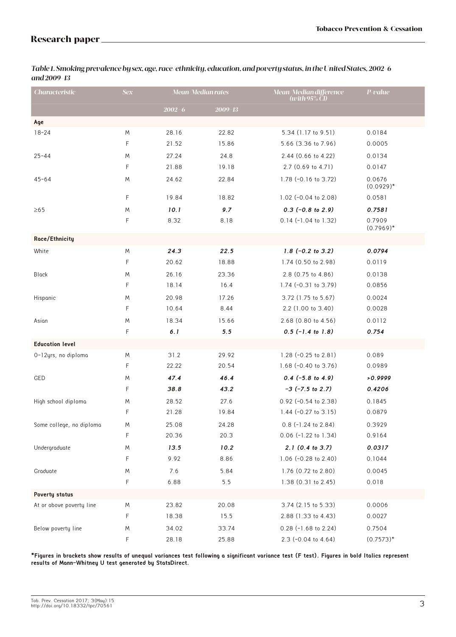| <b>Characteristic</b>    | <b>Sex</b> |            | <b>Mean/Median rates</b> | Mean/Median difference<br>(with $95\%$ CI) | P-value                |
|--------------------------|------------|------------|--------------------------|--------------------------------------------|------------------------|
|                          |            | $2002 - 6$ | $2009 - 13$              |                                            |                        |
| Age                      |            |            |                          |                                            |                        |
| $18 - 24$                | M          | 28.16      | 22.82                    | 5.34 (1.17 to 9.51)                        | 0.0184                 |
|                          | F          | 21.52      | 15.86                    | 5.66 (3.36 to 7.96)                        | 0.0005                 |
| $25 - 44$                | M          | 27.24      | 24.8                     | 2.44 (0.66 to 4.22)                        | 0.0134                 |
|                          | F          | 21.88      | 19.18                    | 2.7 (0.69 to 4.71)                         | 0.0147                 |
| $45 - 64$                | M          | 24.62      | 22.84                    | 1.78 (-0.16 to 3.72)                       | 0.0676<br>$(0.0929)^*$ |
|                          | F          | 19.84      | 18.82                    | 1.02 (-0.04 to 2.08)                       | 0.0581                 |
| $\geq 65$                | M          | 10.1       | 9.7                      | $0.3$ (-0.8 to 2.9)                        | 0.7581                 |
|                          | F          | 8.32       | 8.18                     | $0.14$ (-1.04 to 1.32)                     | 0.7909<br>$(0.7969)^*$ |
| Roce/Ethnicity           |            |            |                          |                                            |                        |
| White                    | M          | 24.3       | 22.5                     | $1.8$ (-0.2 to 3.2)                        | 0.0794                 |
|                          | F          | 20.62      | 18.88                    | 1.74 (0.50 to 2.98)                        | 0.0119                 |
| <b>Black</b>             | M          | 26.16      | 23.36                    | 2.8 (0.75 to 4.86)                         | 0.0138                 |
|                          | F          | 18.14      | 16.4                     | 1.74 (-0.31 to 3.79)                       | 0.0856                 |
| Hispanic                 | M          | 20.98      | 17.26                    | 3.72 (1.75 to 5.67)                        | 0.0024                 |
|                          | F          | 10.64      | 8.44                     | 2.2 (1.00 to 3.40)                         | 0.0028                 |
| Asian                    | M          | 18.34      | 15.66                    | $2.68$ (0.80 to 4.56)                      | 0.0112                 |
|                          | F          | 6.1        | 5.5                      | $0.5$ (-1.4 to 1.8)                        | 0.754                  |
| <b>Education level</b>   |            |            |                          |                                            |                        |
| 0-12yrs, no diploma      | M          | 31.2       | 29.92                    | 1.28 $(-0.25$ to 2.81)                     | 0.089                  |
|                          | F          | 22.22      | 20.54                    | 1.68 $(-0.40 \text{ to } 3.76)$            | 0.0989                 |
| GED                      | M          | 47.4       | 46.4                     | $0.4$ (-5.8 to 4.9)                        | >0.9999                |
|                          | F          | 38.8       | 43.2                     | $-3$ ( $-7.5$ to 2.7)                      | 0.4206                 |
| High school diploma      | Μ          | 28.52      | 27.6                     | 0.92 (-0.54 to 2.38)                       | 0.1845                 |
|                          | F          | 21.28      | 19.84                    | 1.44 $(-0.27$ to 3.15)                     | 0.0879                 |
| Some college, no diploma | M          | 25.08      | 24.28                    | $0.8$ (-1.24 to 2.84)                      | 0.3929                 |
|                          | F          | 20.36      | 20.3                     | 0.06 (-1.22 to 1.34)                       | 0.9164                 |
| Undergraduate            | M          | 13.5       | 10.2                     | 2.1 (0.4 to 3.7)                           | 0.0317                 |
|                          | F          | 9.92       | 8.86                     | 1.06 (-0.28 to 2.40)                       | 0.1044                 |
| Graduate                 | M          | 7.6        | 5.84                     | 1.76 (0.72 to 2.80)                        | 0.0045                 |
|                          | F          | 6.88       | $5.5$                    | 1.38 (0.31 to 2.45)                        | 0.018                  |
| Poverty status           |            |            |                          |                                            |                        |
| At or above poverty line | M          | 23.82      | 20.08                    | 3.74 (2.15 to 5.33)                        | 0.0006                 |
|                          | F          | 18.38      | 15.5                     | 2.88 (1.33 to 4.43)                        | 0.0027                 |
| Below poverty line       | M          | 34.02      | 33.74                    | $0.28$ (-1.68 to 2.24)                     | 0.7504                 |
|                          | F          | 28.18      | 25.88                    | 2.3 (-0.04 to 4.64)                        | $(0.7573)^*$           |

*Table 1. Smoking prevalence by sex, age, race/ethnicity, education, and poverty status, in the United States, 2002-6 and 2009-13*

**\*Figures in brackets show results of unequal variances test following a significant variance test (F test). Figures in bold Italics represent results of Mann-Whitney U test generated by StatsDirect.**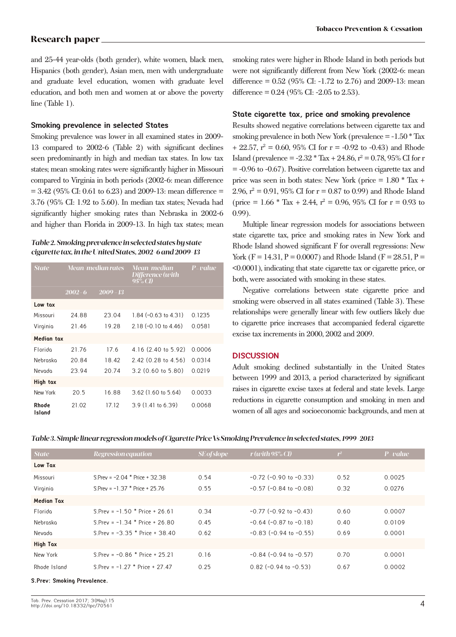and 25-44 year-olds (both gender), white women, black men, Hispanics (both gender), Asian men, men with undergraduate and graduate level education, women with graduate level education, and both men and women at or above the poverty line (Table 1).

## **Smoking prevalence in selected States**

Smoking prevalence was lower in all examined states in 2009- 13 compared to 2002-6 (Table 2) with significant declines seen predominantly in high and median tax states. In low tax states; mean smoking rates were significantly higher in Missouri compared to Virginia in both periods (2002-6: mean difference  $= 3.42$  (95% CI: 0.61 to 6.23) and 2009-13: mean difference  $=$ 3.76 (95% CI: 1.92 to 5.60). In median tax states; Nevada had significantly higher smoking rates than Nebraska in 2002-6 and higher than Florida in 2009-13. In high tax states; mean

## *Table 2. Smoking prevalence in selected states by state cigarette tax, in the United States, 2002-6 and 2009-13*

| <b>State</b>           | Mean/me <del>dian rates</del> |              | Mean/median<br>Difference (with<br>$95\%$ CD | P-value |  |
|------------------------|-------------------------------|--------------|----------------------------------------------|---------|--|
|                        | $2002 - 6$                    | 2009<br>- 13 |                                              |         |  |
| Low tox                |                               |              |                                              |         |  |
| Missouri               | 24.88                         | 23.04        | 1.84 $(-0.63$ to 4.31)                       | 0.1235  |  |
| Virginia               | 21.46                         | 19.28        | $2.18(-0.10)$ to $4.46$                      | 0.0581  |  |
| <b>Median tax</b>      |                               |              |                                              |         |  |
| Florido                | 21 76                         | 17.6         | 4.16 (2.40 to 5.92)                          | 0.0006  |  |
| Nebraska               | 20.84                         | 18.42        | $2.42$ (0.28 to 4.56)                        | 0.0314  |  |
| Nevodo                 | 23.94                         | 20.74        | $3.2$ (0.60 to 5.80)                         | 0.0219  |  |
| High tax               |                               |              |                                              |         |  |
| New York               | 20.5                          | 16.88        | $3.62$ (1.60 to 5.64)                        | 0.0033  |  |
| <b>Rhode</b><br>Island | 21.02                         | 17.12        | $3.9(1.41 \text{ to } 6.39)$                 | 0.0068  |  |

smoking rates were higher in Rhode Island in both periods but were not significantly different from New York (2002-6: mean difference =  $0.52$  (95% CI:  $-1.72$  to 2.76) and 2009-13: mean difference =  $0.24$  (95% CI: -2.05 to 2.53).

#### **State cigarette tax, price and smoking prevalence**

Results showed negative correlations between cigarette tax and smoking prevalence in both New York (prevalence  $= -1.50 *$  Tax  $+ 22.57$ ,  $r^2 = 0.60$ , 95% CI for  $r = -0.92$  to  $-0.43$ ) and Rhode Island (prevalence =  $-2.32 * Tax + 24.86$ ,  $r^2 = 0.78$ , 95% CI for r = -0.96 to -0.67). Positive correlation between cigarette tax and price was seen in both states: New York (price  $= 1.80 *$  Tax  $+$ 2.96,  $r^2 = 0.91$ , 95% CI for  $r = 0.87$  to 0.99) and Rhode Island (price =  $1.66 *$  Tax + 2.44,  $r^2 = 0.96, 95\%$  CI for  $r = 0.93$  to 0.99).

Multiple linear regression models for associations between state cigarette tax, price and smoking rates in New York and Rhode Island showed significant F for overall regressions: New York (F = 14.31, P = 0.0007) and Rhode Island (F = 28.51, P = <0.0001), indicating that state cigarette tax or cigarette price, or both, were associated with smoking in these states.

Negative correlations between state cigarette price and smoking were observed in all states examined (Table 3). These relationships were generally linear with few outliers likely due to cigarette price increases that accompanied federal cigarette excise tax increments in 2000, 2002 and 2009.

### **DISCUSSION**

Adult smoking declined substantially in the United States between 1999 and 2013, a period characterized by significant raises in cigarette excise taxes at federal and state levels. Large reductions in cigarette consumption and smoking in men and women of all ages and socioeconomic backgrounds, and men at

|  |  | Table 3. Simple linear regression models of Cigarette Price Vs Smoking Prevalence in selected states, 1999-2013 |  |  |
|--|--|-----------------------------------------------------------------------------------------------------------------|--|--|
|--|--|-----------------------------------------------------------------------------------------------------------------|--|--|

| <b>State</b>      | Regression equation               | <b>SE</b> of slope | r (with $95\%$ CI)             | $r^2$ | $P$ -value |
|-------------------|-----------------------------------|--------------------|--------------------------------|-------|------------|
| Low Tax           |                                   |                    |                                |       |            |
| Missouri          | S.Prev = $-2.04$ * Price + 32.38  | 0.54               | $-0.72$ ( $-0.90$ to $-0.33$ ) | 0.52  | 0.0025     |
| Virginia          | S. Prev = $-1.37$ * Price + 25.76 | 0.55               | $-0.57$ ( $-0.84$ to $-0.08$ ) | 0.32  | 0.0276     |
| <b>Medion Tox</b> |                                   |                    |                                |       |            |
| Florido           | S. Prev = $-1.50$ * Price + 26.61 | 0.34               | $-0.77$ ( $-0.92$ to $-0.43$ ) | 0.60  | 0.0007     |
| Nebraska          | S. Prev = $-1.34$ * Price + 26.80 | 0.45               | $-0.64$ ( $-0.87$ to $-0.18$ ) | 0.40  | 0.0109     |
| Nevada            | S.Prev = $-3.35$ * Price + 38.40  | 0.62               | $-0.83$ ( $-0.94$ to $-0.55$ ) | 0.69  | 0.0001     |
| <b>High Tax</b>   |                                   |                    |                                |       |            |
| New York          | S. Prev = $-0.86$ * Price + 25.21 | 0.16               | $-0.84$ ( $-0.94$ to $-0.57$ ) | 0.70  | 0.0001     |
| Rhode Island      | S. Prev = $-1.27$ * Price + 27.47 | 0.25               | $0.82$ (-0.94 to -0.53)        | 0.67  | 0.0002     |
|                   |                                   |                    |                                |       |            |

#### **S.Prev: Smoking Prevalence.**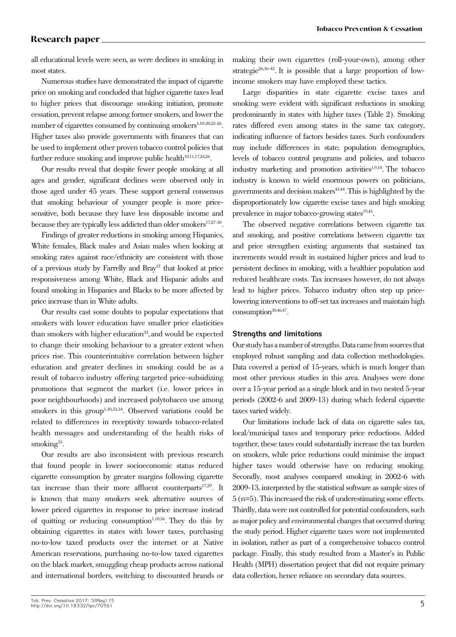all educational levels were seen, as were declines in smoking in most states.

Numerous studies have demonstrated the impact of cigarette price on smoking and concluded that higher cigarette taxes lead to higher prices that discourage smoking initiation, promote cessation, prevent relapse among former smokers, and lower the number of cigarettes consumed by continuing smokers<sup>1,10-20,23-26</sup>. Higher taxes also provide governments with finances that can be used to implement other proven tobacco control policies that further reduce smoking and improve public health<sup>10,11,17,24,26</sup>.

Our results reveal that despite fewer people smoking at all ages and gender, significant declines were observed only in those aged under 45 years. These support general consensus that smoking behaviour of younger people is more pricesensitive, both because they have less disposable income and because they are typically less addicted than older smokers<sup>17,27-30</sup>.

Findings of greater reductions in smoking among Hispanics, White females, Black males and Asian males when looking at smoking rates against race/ethnicity are consistent with those of a previous study by Farrelly and Bray31 that looked at price responsiveness among White, Black and Hispanic adults and found smoking in Hispanics and Blacks to be more affected by price increase than in White adults.

Our results cast some doubts to popular expectations that smokers with lower education have smaller price elasticities than smokers with higher education<sup>32</sup>, and would be expected to change their smoking behaviour to a greater extent when prices rise. This counterintuitive correlation between higher education and greater declines in smoking could be as a result of tobacco industry offering targeted price-subsidizing promotions that segment the market (i.e. lower prices in poor neighbourhoods) and increased polytobacco use among smokers in this group<sup>1,30,33,34</sup>. Observed variations could be related to differences in receptivity towards tobacco-related health messages and understanding of the health risks of smoking $35$ .

Our results are also inconsistent with previous research that found people in lower socioeconomic status reduced cigarette consumption by greater margins following cigarette tax increase than their more affluent counterparts $17.29$ . It is known that many smokers seek alternative sources of lower priced cigarettes in response to price increase instead of quitting or reducing consumption<sup>1,10,36</sup>. They do this by obtaining cigarettes in states with lower taxes, purchasing no-to-low taxed products over the internet or at Native American reservations, purchasing no-to-low taxed cigarettes on the black market, smuggling cheap products across national and international borders, switching to discounted brands or

making their own cigarettes (roll-your-own), among other strategie<sup>26,36-42</sup>. It is possible that a large proportion of lowincome smokers may have employed these tactics.

Large disparities in state cigarette excise taxes and smoking were evident with significant reductions in smoking predominantly in states with higher taxes (Table 2). Smoking rates differed even among states in the same tax category, indicating influence of factors besides taxes. Such confounders may include differences in state; population demographics, levels of tobacco control programs and policies, and tobacco industry marketing and promotion activities<sup>1,9,10</sup>. The tobacco industry is known to wield enormous powers on politicians, governments and decision makers<sup>43,44</sup>. This is highlighted by the disproportionately low cigarette excise taxes and high smoking prevalence in major tobacco-growing states $19,45$ .

The observed negative correlations between cigarette tax and smoking, and positive correlations between cigarette tax and price strengthen existing arguments that sustained tax increments would result in sustained higher prices and lead to persistent declines in smoking, with a healthier population and reduced healthcare costs. Tax increases however, do not always lead to higher prices. Tobacco industry often step up pricelowering interventions to off-set tax increases and maintain high consumption<sup>30,46,47</sup>.

### **Strengths and limitations**

Our study has a number of strengths. Data came from sources that employed robust sampling and data collection methodologies. Data covered a period of 15-years, which is much longer than most other previous studies in this area. Analyses were done over a 15-year period as a single block and in two nested 5-year periods (2002-6 and 2009-13) during which federal cigarette taxes varied widely.

Our limitations include lack of data on cigarette sales tax, local/municipal taxes and temporary price reductions. Added together, these taxes could substantially increase the tax burden on smokers, while price reductions could minimise the impact higher taxes would otherwise have on reducing smoking. Secondly, most analyses compared smoking in 2002-6 with 2009-13, interpreted by the statistical software as sample sizes of 5 (n=5). This increased the risk of underestimating some effects. Thirdly, data were not controlled for potential confounders, such as major policy and environmental changes that occurred during the study period. Higher cigarette taxes were not implemented in isolation, rather as part of a comprehensive tobacco control package. Finally, this study resulted from a Master's in Public Health (MPH) dissertation project that did not require primary data collection, hence reliance on secondary data sources.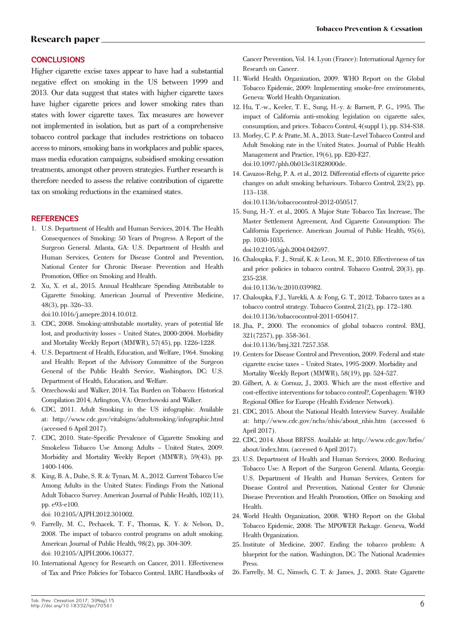## **CONCLUSIONS**

Higher cigarette excise taxes appear to have had a substantial negative effect on smoking in the US between 1999 and 2013. Our data suggest that states with higher cigarette taxes have higher cigarette prices and lower smoking rates than states with lower cigarette taxes. Tax measures are however not implemented in isolation, but as part of a comprehensive tobacco control package that includes restrictions on tobacco access to minors, smoking bans in workplaces and public spaces, mass media education campaigns, subsidised smoking cessation treatments, amongst other proven strategies. Further research is therefore needed to assess the relative contribution of cigarette tax on smoking reductions in the examined states.

#### **REFERENCES**

- 1. U.S. Department of Health and Human Services, 2014. The Health Consequences of Smoking: 50 Years of Progress. A Report of the Surgeon General. Atlanta, GA: U.S. Department of Health and Human Services, Centers for Disease Control and Prevention, National Center for Chronic Disease Prevention and Health Promotion, Office on Smoking and Health.
- 2. Xu, X. et al., 2015. Annual Healthcare Spending Attributable to Cigarette Smoking. American Journal of Preventive Medicine, 48(3), pp. 326–33.

doi:10.1016/j.amepre.2014.10.012.

- 3. CDC, 2008. Smoking-attributable mortality, years of potential life lost, and productivity losses – United States, 2000-2004. Morbidity and Mortality Weekly Report (MMWR), 57(45), pp. 1226-1228.
- 4. U.S. Department of Health, Education, and Welfare, 1964. Smoking and Health: Report of the Advisory Committee of the Surgeon General of the Public Health Service, Washington, DC: U.S. Department of Health, Education, and Welfare.
- 5. Orzechowski and Walker, 2014. Tax Burden on Tobacco: Historical Compilation 2014, Arlington, VA: Orzechowski and Walker.
- 6. CDC, 2011. Adult Smoking in the US infographic. Available at: http://www.cdc.gov/vitalsigns/adultsmoking/infographic.html (accessed 6 April 2017).
- 7. CDC, 2010. State-Specific Prevalence of Cigarette Smoking and Smokeless Tobacco Use Among Adults – United States, 2009. Morbidity and Mortality Weekly Report (MMWR), 59(43), pp. 1400-1406.
- 8. King, B. A., Dube, S. R. & Tynan, M. A., 2012. Current Tobacco Use Among Adults in the United States: Findings From the National Adult Tobacco Survey. American Journal of Public Health, 102(11), pp. e93-e100.

doi: 10.2105/AJPH.2012.301002.

- 9. Farrelly, M. C., Pechacek, T. F., Thomas, K. Y. & Nelson, D., 2008. The impact of tobacco control programs on adult smoking. American Journal of Public Health, 98(2), pp. 304-309. doi: 10.2105/AJPH.2006.106377.
- 10. International Agency for Research on Cancer, 2011. Effectiveness of Tax and Price Policies for Tobacco Control. IARC Handbooks of

Cancer Prevention, Vol. 14. Lyon (France): International Agency for Research on Cancer.

- 11. World Health Organization, 2009. WHO Report on the Global Tobacco Epidemic, 2009: Implementing smoke-free environments, Geneva: World Health Organization.
- 12. Hu, T.-w., Keeler, T. E., Sung, H.-y. & Barnett, P. G., 1995. The impact of California anti-smoking legislation on cigarette sales, consumption, and prices. Tobacco Control, 4(suppl 1), pp. S34-S38.
- 13. Morley, C. P. & Pratte, M. A., 2013. State-Level Tobacco Control and Adult Smoking rate in the United States. Journal of Public Health Management and Practice, 19(6), pp. E20-E27. doi:10.1097/phh.0b013e31828000de.
- 14. Cavazos-Rehg, P. A. et al., 2012. Differential effects of cigarette price changes on adult smoking behaviours. Tobacco Control, 23(2), pp. 113–138.

doi:10.1136/tobaccocontrol-2012-050517.

15. Sung, H.-Y. et al., 2005. A Major State Tobacco Tax Increase, The Master Settlement Agreement, And Cigarette Consumption: The California Experience. American Journal of Public Health, 95(6), pp. 1030-1035.

doi:10.2105/ajph.2004.042697.

16. Chaloupka, F. J., Straif, K. & Leon, M. E., 2010. Effectiveness of tax and price policies in tobacco control. Tobacco Control, 20(3), pp. 235-238.

doi:10.1136/tc.2010.039982.

- 17. Chaloupka, F.J., Yurekli, A. & Fong, G. T., 2012. Tobacco taxes as a tobacco control strategy. Tobacco Control, 21(2), pp. 172–180. doi:10.1136/tobaccocontrol-2011-050417.
- 18. Jha, P., 2000. The economics of global tobacco control. BMJ, 321(7257), pp. 358-361. doi:10.1136/bmj.321.7257.358.
- 19. Centers for Disease Control and Prevention, 2009. Federal and state cigarette excise taxes – United States, 1995-2009. Morbidity and Mortality Weekly Report (MMWR), 58(19), pp. 524-527.
- 20. Gilbert, A. & Cornuz, J., 2003. Which are the most effective and cost-effective interventions for tobacco control?, Copenhagen: WHO Regional Office for Europe (Health Evidence Network).
- 21. CDC, 2015. About the National Health Interview Survey. Available at: http://www.cdc.gov/nchs/nhis/about\_nhis.htm (accessed 6 April 2017).
- 22. CDC, 2014. About BRFSS. Available at: http://www.cdc.gov/brfss/ about/index.htm. (accessed 6 April 2017).
- 23. U.S. Department of Health and Human Services, 2000. Reducing Tobacco Use: A Report of the Surgeon General. Atlanta, Georgia: U.S. Department of Health and Human Services, Centers for Disease Control and Prevention, National Center for Chronic Disease Prevention and Health Promotion, Office on Smoking and Health.
- 24. World Health Organization, 2008. WHO Report on the Global Tobacco Epidemic, 2008: The MPOWER Package. Geneva, World Health Organization.
- 25. Institute of Medicine, 2007. Ending the tobacco problem: A blueprint for the nation. Washington, DC: The National Academies Press.
- 26. Farrelly, M. C., Nimsch, C. T. & James, J., 2003. State Cigarette